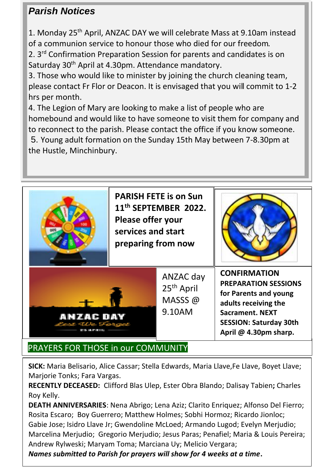# *Parish Notices*

1. Monday 25th April, ANZAC DAY we will celebrate Mass at 9.10am instead of a communion service to honour those who died for our freedom.

2. 3rd Confirmation Preparation Session for parents and candidates is on Saturday 30th April at 4.30pm. Attendance mandatory.

3. Those who would like to minister by joining the church cleaning team, please contact Fr Flor or Deacon. It is envisaged that you will commit to 1-2 hrs per month.

4. The Legion of Mary are looking to make a list of people who are homebound and would like to have someone to visit them for company and to reconnect to the parish. Please contact the office if you know someone. 5. Young adult formation on the Sunday 15th May between 7-8.30pm at the Hustle, Minchinbury.



# PRAYERS FOR THOSE in our COMMUNITY

**SICK:** Maria Belisario, Alice Cassar; Stella Edwards, Maria Llave,Fe Llave, Boyet Llave; Marjorie Tonks; Fara Vargas.

**RECENTLY DECEASED:** Clifford Blas Ulep, Ester Obra Blando; Dalisay Tabien**;** Charles Roy Kelly.

**DEATH ANNIVERSARIES**: Nena Abrigo; Lena Aziz; Clarito Enriquez; Alfonso Del Fierro; Rosita Escaro; Boy Guerrero; Matthew Holmes; Sobhi Hormoz; Ricardo Jionloc; Gabie Jose; Isidro Llave Jr; Gwendoline McLoed; Armando Lugod; Evelyn Merjudio; Marcelina Merjudio; Gregorio Merjudio; Jesus Paras; Penafiel; Maria & Louis Pereira; Andrew Rylweski; Maryam Toma; Marciana Uy; Melicio Vergara;

*Names submitted to Parish for prayers will show for 4 weeks at a time***.**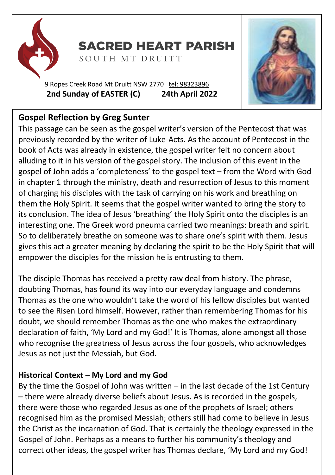

**SACRED HEART PARISH** 

SOUTH MT DRUITT

9 Ropes Creek Road Mt Druitt NSW 2770 tel: [98323896](tel:98323896) **2nd Sunday of EASTER (C) 24th April 2022**



# **Gospel Reflection by Greg Sunter**

This passage can be seen as the gospel writer's version of the Pentecost that was previously recorded by the writer of Luke-Acts. As the account of Pentecost in the book of Acts was already in existence, the gospel writer felt no concern about alluding to it in his version of the gospel story. The inclusion of this event in the gospel of John adds a 'completeness' to the gospel text – from the Word with God in chapter 1 through the ministry, death and resurrection of Jesus to this moment of charging his disciples with the task of carrying on his work and breathing on them the Holy Spirit. It seems that the gospel writer wanted to bring the story to its conclusion. The idea of Jesus 'breathing' the Holy Spirit onto the disciples is an interesting one. The Greek word pneuma carried two meanings: breath and spirit. So to deliberately breathe on someone was to share one's spirit with them. Jesus gives this act a greater meaning by declaring the spirit to be the Holy Spirit that will empower the disciples for the mission he is entrusting to them.

The disciple Thomas has received a pretty raw deal from history. The phrase, doubting Thomas, has found its way into our everyday language and condemns Thomas as the one who wouldn't take the word of his fellow disciples but wanted to see the Risen Lord himself. However, rather than remembering Thomas for his doubt, we should remember Thomas as the one who makes the extraordinary declaration of faith, 'My Lord and my God!' It is Thomas, alone amongst all those who recognise the greatness of Jesus across the four gospels, who acknowledges Jesus as not just the Messiah, but God.

### **Historical Context – My Lord and my God**

By the time the Gospel of John was written – in the last decade of the 1st Century – there were already diverse beliefs about Jesus. As is recorded in the gospels, there were those who regarded Jesus as one of the prophets of Israel; others recognised him as the promised Messiah; others still had come to believe in Jesus the Christ as the incarnation of God. That is certainly the theology expressed in the Gospel of John. Perhaps as a means to further his community's theology and correct other ideas, the gospel writer has Thomas declare, 'My Lord and my God!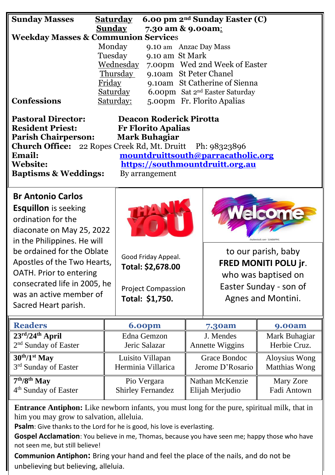| <b>Sunday Masses</b>                                                   | <b>Saturday</b> |                                          |                           | 6.00 pm 2 <sup>nd</sup> Sunday Easter (C)  |                        |  |  |
|------------------------------------------------------------------------|-----------------|------------------------------------------|---------------------------|--------------------------------------------|------------------------|--|--|
|                                                                        | <b>Sunday</b>   | 7.30 am & 9.00am:                        |                           |                                            |                        |  |  |
| <b>Weekday Masses &amp; Communion Services</b>                         |                 |                                          |                           |                                            |                        |  |  |
|                                                                        | Monday          | 9.10 am Anzac Day Mass                   |                           |                                            |                        |  |  |
|                                                                        | Tuesday         | 9.10 am St Mark                          |                           |                                            |                        |  |  |
|                                                                        | Wednesday       |                                          |                           | 7.00pm Wed 2nd Week of Easter              |                        |  |  |
|                                                                        | Thursday        | 9.10am St Peter Chanel                   |                           |                                            |                        |  |  |
|                                                                        | Friday          |                                          |                           | 9.10am St Catherine of Sienna              |                        |  |  |
|                                                                        | Saturday        |                                          |                           | 6.00pm Sat 2 <sup>nd</sup> Easter Saturday |                        |  |  |
| <b>Confessions</b>                                                     | Saturday:       |                                          |                           | 5.00pm Fr. Florito Apalias                 |                        |  |  |
|                                                                        |                 |                                          |                           |                                            |                        |  |  |
| <b>Pastoral Director:</b><br><b>Deacon Roderick Pirotta</b>            |                 |                                          |                           |                                            |                        |  |  |
| <b>Resident Priest:</b><br><b>Fr Florito Apalias</b>                   |                 |                                          |                           |                                            |                        |  |  |
| <b>Parish Chairperson:</b><br><b>Mark Buhagiar</b>                     |                 |                                          |                           |                                            |                        |  |  |
| 22 Ropes Creek Rd, Mt. Druitt<br><b>Church Office:</b><br>Ph: 98323896 |                 |                                          |                           |                                            |                        |  |  |
| Email:                                                                 |                 |                                          |                           | mountdruittsouth@parracatholic.org         |                        |  |  |
| <b>Website:</b>                                                        |                 |                                          |                           | https://southmountdruitt.org.au            |                        |  |  |
| <b>Baptisms &amp; Weddings:</b>                                        |                 | By arrangement                           |                           |                                            |                        |  |  |
|                                                                        |                 |                                          |                           |                                            |                        |  |  |
| <b>Br Antonio Carlos</b>                                               |                 |                                          |                           |                                            |                        |  |  |
|                                                                        |                 |                                          |                           |                                            |                        |  |  |
| <b>Esquillon</b> is seeking<br><b>Acome</b>                            |                 |                                          |                           |                                            |                        |  |  |
| ordination for the                                                     |                 |                                          |                           |                                            |                        |  |  |
| diaconate on May 25, 2022                                              |                 |                                          |                           |                                            |                        |  |  |
| in the Philippines. He will                                            |                 |                                          |                           |                                            |                        |  |  |
| be ordained for the Oblate                                             |                 |                                          |                           |                                            | to our parish, baby    |  |  |
| Apostles of the Two Hearts,                                            |                 | Good Friday Appeal.<br>Total: \$2,678.00 |                           |                                            |                        |  |  |
|                                                                        |                 |                                          |                           | FRED MONITI POLU jr.                       |                        |  |  |
| OATH. Prior to entering                                                |                 |                                          |                           |                                            | who was baptised on    |  |  |
| consecrated life in 2005, he                                           |                 |                                          | <b>Project Compassion</b> |                                            | Easter Sunday - son of |  |  |
| was an active member of                                                |                 | Total: \$1,750.                          |                           | Agnes and Montini.                         |                        |  |  |
| Sacred Heart parish.                                                   |                 |                                          |                           |                                            |                        |  |  |
|                                                                        |                 |                                          |                           |                                            |                        |  |  |
| <b>Readers</b>                                                         |                 | <b>6.00pm</b>                            |                           | 7.30am                                     | <b>9.00am</b>          |  |  |
| 23rd/24th April                                                        |                 | Edna Gemzon                              |                           | J. Mendes                                  | Mark Buhagiar          |  |  |
| 2 <sup>nd</sup> Sunday of Easter                                       |                 | Jeric Salazar                            |                           | <b>Annette Wiggins</b>                     | Herbie Cruz.           |  |  |

| $30^{th}/1^{st}$ May             | Luisito Villapan         | Grace Bondoc     | Aloysius Wong |
|----------------------------------|--------------------------|------------------|---------------|
| 3 <sup>rd</sup> Sunday of Easter | Herminia Villarica       | Jerome D'Rosario | Matthias Wong |
| $7th/8th$ May                    | Pio Vergara              | Nathan McKenzie  | Mary Zore     |
| 4 <sup>th</sup> Sunday of Easter | <b>Shirley Fernandez</b> | Elijah Merjudio  | Fadi Antown   |

**Entrance Antiphon:** Like newborn infants, you must long for the pure, spiritual milk, that in him you may grow to salvation, alleluia.

**Psalm**: Give thanks to the Lord for he is good, his love is everlasting.

**Gospel Acclamation**: You believe in me, Thomas, because you have seen me; happy those who have not seen me, but still believe!

**Communion Antiphon:** Bring your hand and feel the place of the nails, and do not be unbelieving but believing, alleluia.